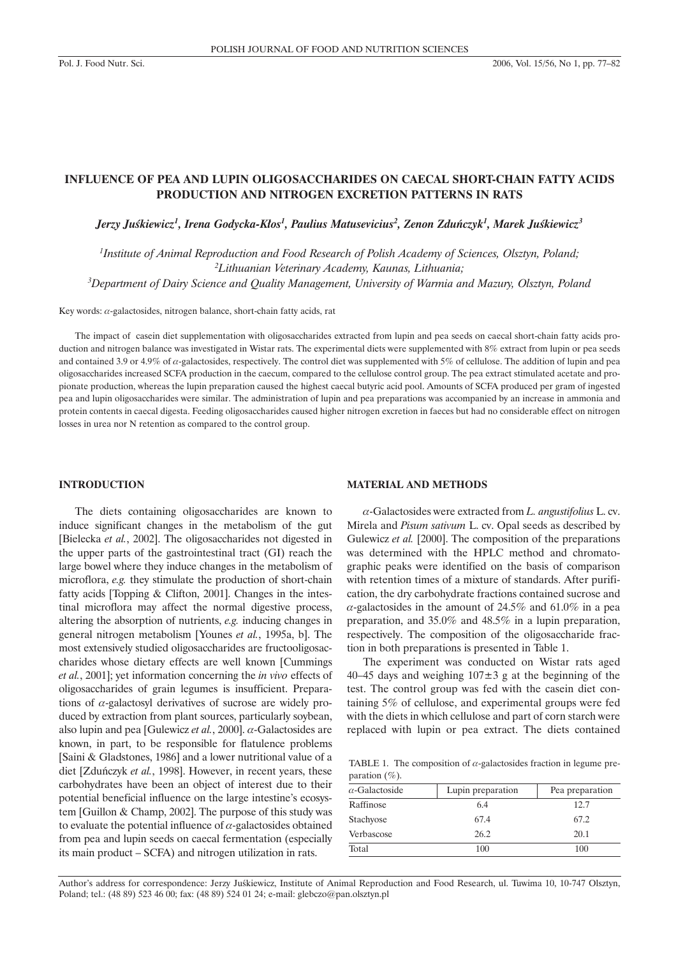## **INFLUENCE OF PEA AND LUPIN OLIGOSACCHARIDES ON CAECAL SHORT-CHAIN FATTY ACIDS PRODUCTION AND NITROGEN EXCRETION PATTERNS IN RATS**

 $J$ erzy Juśkiewicz<sup>1</sup>, Irena Godycka-Kłos<sup>1</sup>, Paulius Matusevicius<sup>2</sup>, Zenon Zduńczyk<sup>1</sup>, Marek Juśkiewicz<sup>3</sup>

*1 Institute of Animal Reproduction and Food Research of Polish Academy of Sciences, Olsztyn, Poland; 2 Lithuanian Veterinary Academy, Kaunas, Lithuania; 3 Department of Dairy Science and Quality Management, University of Warmia and Mazury, Olsztyn, Poland*

Key words:  $\alpha$ -galactosides, nitrogen balance, short-chain fatty acids, rat

The impact of casein diet supplementation with oligosaccharides extracted from lupin and pea seeds on caecal short-chain fatty acids production and nitrogen balance was investigated in Wistar rats. The experimental diets were supplemented with 8% extract from lupin or pea seeds and contained 3.9 or 4.9% of  $\alpha$ -galactosides, respectively. The control diet was supplemented with 5% of cellulose. The addition of lupin and pea oligosaccharides increased SCFA production in the caecum, compared to the cellulose control group. The pea extract stimulated acetate and propionate production, whereas the lupin preparation caused the highest caecal butyric acid pool. Amounts of SCFA produced per gram of ingested pea and lupin oligosaccharides were similar. The administration of lupin and pea preparations was accompanied by an increase in ammonia and protein contents in caecal digesta. Feeding oligosaccharides caused higher nitrogen excretion in faeces but had no considerable effect on nitrogen losses in urea nor N retention as compared to the control group.

### **INTRODUCTION**

The diets containing oligosaccharides are known to induce significant changes in the metabolism of the gut [Bielecka *et al.*, 2002]. The oligosaccharides not digested in the upper parts of the gastrointestinal tract (GI) reach the large bowel where they induce changes in the metabolism of microflora, *e.g.* they stimulate the production of short-chain fatty acids [Topping & Clifton, 2001]. Changes in the intestinal microflora may affect the normal digestive process, altering the absorption of nutrients, *e.g.* inducing changes in general nitrogen metabolism [Younes *et al.*, 1995a, b]. The most extensively studied oligosaccharides are fructooligosaccharides whose dietary effects are well known [Cummings *et al.*, 2001]; yet information concerning the *in vivo* effects of oligosaccharides of grain legumes is insufficient. Preparations of  $\alpha$ -galactosyl derivatives of sucrose are widely produced by extraction from plant sources, particularly soybean, also lupin and pea [Gulewicz *et al.*, 2000].  $\alpha$ -Galactosides are known, in part, to be responsible for flatulence problems [Saini & Gladstones, 1986] and a lower nutritional value of a diet [Zduñczyk *et al.*, 1998]. However, in recent years, these carbohydrates have been an object of interest due to their potential beneficial influence on the large intestine's ecosystem [Guillon & Champ, 2002]. The purpose of this study was to evaluate the potential influence of  $\alpha$ -galactosides obtained from pea and lupin seeds on caecal fermentation (especially its main product – SCFA) and nitrogen utilization in rats.

### **MATERIAL AND METHODS**

a-Galactosides were extracted from *L. angustifolius* L. cv. Mirela and *Pisum sativum* L. cv. Opal seeds as described by Gulewicz *et al.* [2000]. The composition of the preparations was determined with the HPLC method and chromatographic peaks were identified on the basis of comparison with retention times of a mixture of standards. After purification, the dry carbohydrate fractions contained sucrose and  $\alpha$ -galactosides in the amount of 24.5% and 61.0% in a pea preparation, and 35.0% and 48.5% in a lupin preparation, respectively. The composition of the oligosaccharide fraction in both preparations is presented in Table 1.

The experiment was conducted on Wistar rats aged 40–45 days and weighing  $107\pm3$  g at the beginning of the test. The control group was fed with the casein diet containing 5% of cellulose, and experimental groups were fed with the diets in which cellulose and part of corn starch were replaced with lupin or pea extract. The diets contained

TABLE 1. The composition of  $\alpha$ -galactosides fraction in legume preparation  $(\%).$ 

| $\alpha$ -Galactoside | Lupin preparation | Pea preparation |
|-----------------------|-------------------|-----------------|
| Raffinose             | 6.4               | 12.7            |
| Stachyose             | 67.4              | 67.2            |
| Verbascose            | 26.2              | 20.1            |
| Total                 | 100               | 100             |
|                       |                   |                 |

Author's address for correspondence: Jerzy Juśkiewicz, Institute of Animal Reproduction and Food Research, ul. Tuwima 10, 10-747 Olsztyn, Poland; tel.: (48 89) 523 46 00; fax: (48 89) 524 01 24; e-mail: glebczo@pan.olsztyn.pl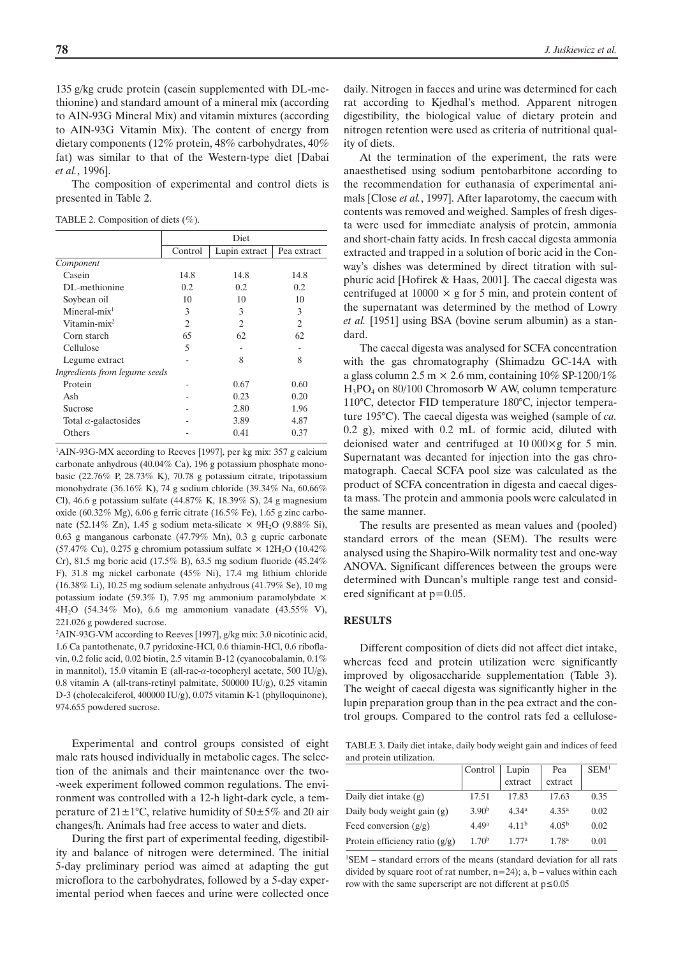135 g/kg crude protein (casein supplemented with DL-methionine) and standard amount of a mineral mix (according to AIN-93G Mineral Mix) and vitamin mixtures (according to AIN-93G Vitamin Mix). The content of energy from dietary components (12% protein, 48% carbohydrates, 40% fat) was similar to that of the Western-type diet [Dabai *et al.*, 1996].

The composition of experimental and control diets is presented in Table 2.

TABLE 2. Composition of diets  $(\% )$ .

|                               | Diet           |                             |                |
|-------------------------------|----------------|-----------------------------|----------------|
|                               | Control        | Lupin extract               | Pea extract    |
| Component                     |                |                             |                |
| Casein                        | 14.8           | 14.8                        | 14.8           |
| DL-methionine                 | 0.2            | 0.2                         | 0.2            |
| Soybean oil                   | 10             | 10                          | 10             |
| $Mineral-mix1$                | 3              | 3                           | 3              |
| Vitamin-mix $2$               | $\overline{c}$ | $\mathcal{D}_{\mathcal{L}}$ | $\overline{c}$ |
| Corn starch                   | 65             | 62                          | 62             |
| Cellulose                     | 5              |                             |                |
| Legume extract                |                | 8                           | 8              |
| Ingredients from legume seeds |                |                             |                |
| Protein                       |                | 0.67                        | 0.60           |
| Ash                           |                | 0.23                        | 0.20           |
| Sucrose                       |                | 2.80                        | 1.96           |
| Total $\alpha$ -galactosides  |                | 3.89                        | 4.87           |
| Others                        |                | 0.41                        | 0.37           |
|                               |                |                             |                |

<sup>1</sup>AIN-93G-MX according to Reeves [1997], per kg mix: 357 g calcium carbonate anhydrous (40.04% Ca), 196 g potassium phosphate monobasic (22.76% P, 28.73% K), 70.78 g potassium citrate, tripotassium monohydrate (36.16% K), 74 g sodium chloride (39.34% Na, 60.66% Cl), 46.6 g potassium sulfate (44.87% K, 18.39% S), 24 g magnesium oxide (60.32% Mg), 6.06 g ferric citrate (16.5% Fe), 1.65 g zinc carbonate (52.14% Zn), 1.45 g sodium meta-silicate  $\times$  9H<sub>2</sub>O (9.88% Si), 0.63 g manganous carbonate (47.79% Mn), 0.3 g cupric carbonate (57.47% Cu), 0.275 g chromium potassium sulfate  $\times$  12H<sub>2</sub>O (10.42%) Cr), 81.5 mg boric acid (17.5% B), 63.5 mg sodium fluoride (45.24% F), 31.8 mg nickel carbonate (45% Ni), 17.4 mg lithium chloride (16.38% Li), 10.25 mg sodium selenate anhydrous (41.79% Se), 10 mg potassium iodate (59.3% I), 7.95 mg ammonium paramolybdate  $\times$ 4H2O (54.34% Mo), 6.6 mg ammonium vanadate (43.55% V), 221.026 g powdered sucrose.

2 AIN-93G-VM according to Reeves [1997], g/kg mix: 3.0 nicotinic acid, 1.6 Ca pantothenate, 0.7 pyridoxine-HCl, 0.6 thiamin-HCl, 0.6 riboflavin, 0.2 folic acid, 0.02 biotin, 2.5 vitamin B-12 (cyanocobalamin, 0.1% in mannitol), 15.0 vitamin E (all-rac- $\alpha$ -tocopheryl acetate, 500 IU/g), 0.8 vitamin A (all-trans-retinyl palmitate, 500000 IU/g), 0.25 vitamin D-3 (cholecalciferol, 400000 IU/g), 0.075 vitamin K-1 (phylloquinone), 974.655 powdered sucrose.

Experimental and control groups consisted of eight male rats housed individually in metabolic cages. The selection of the animals and their maintenance over the two- -week experiment followed common regulations. The environment was controlled with a 12-h light-dark cycle, a temperature of  $21 \pm 1^{\circ}$ C, relative humidity of  $50 \pm 5\%$  and 20 air changes/h. Animals had free access to water and diets.

During the first part of experimental feeding, digestibility and balance of nitrogen were determined. The initial 5-day preliminary period was aimed at adapting the gut microflora to the carbohydrates, followed by a 5-day experimental period when faeces and urine were collected once

daily. Nitrogen in faeces and urine was determined for each rat according to Kjedhal's method. Apparent nitrogen digestibility, the biological value of dietary protein and nitrogen retention were used as criteria of nutritional quality of diets.

At the termination of the experiment, the rats were anaesthetised using sodium pentobarbitone according to the recommendation for euthanasia of experimental animals [Close *et al.*, 1997]. After laparotomy, the caecum with contents was removed and weighed. Samples of fresh digesta were used for immediate analysis of protein, ammonia and short-chain fatty acids. In fresh caecal digesta ammonia extracted and trapped in a solution of boric acid in the Conway's dishes was determined by direct titration with sulphuric acid [Hofirek & Haas, 2001]. The caecal digesta was centrifuged at  $10000 \times g$  for 5 min, and protein content of the supernatant was determined by the method of Lowry *et al.* [1951] using BSA (bovine serum albumin) as a standard.

The caecal digesta was analysed for SCFA concentration with the gas chromatography (Shimadzu GC-14A with a glass column 2.5 m  $\times$  2.6 mm, containing 10% SP-1200/1% H3PO4 on 80/100 Chromosorb W AW, column temperature 110°C, detector FID temperature 180°C, injector temperature 195°C). The caecal digesta was weighed (sample of *ca.* 0.2 g), mixed with 0.2 mL of formic acid, diluted with deionised water and centrifuged at  $10\,000\times g$  for 5 min. Supernatant was decanted for injection into the gas chromatograph. Caecal SCFA pool size was calculated as the product of SCFA concentration in digesta and caecal digesta mass. The protein and ammonia pools were calculated in the same manner.

The results are presented as mean values and (pooled) standard errors of the mean (SEM). The results were analysed using the Shapiro-Wilk normality test and one-way ANOVA. Significant differences between the groups were determined with Duncan's multiple range test and considered significant at p=0.05.

### **RESULTS**

Different composition of diets did not affect diet intake, whereas feed and protein utilization were significantly improved by oligosaccharide supplementation (Table 3). The weight of caecal digesta was significantly higher in the lupin preparation group than in the pea extract and the control groups. Compared to the control rats fed a cellulose-

TABLE 3. Daily diet intake, daily body weight gain and indices of feed and protein utilization.

|                                  | Control           | Lupin             | Pea               | SEM <sup>1</sup> |
|----------------------------------|-------------------|-------------------|-------------------|------------------|
|                                  |                   | extract           | extract           |                  |
| Daily diet intake $(g)$          | 17.51             | 17.83             | 17.63             | 0.35             |
| Daily body weight gain $(g)$     | 3.90 <sup>b</sup> | 4.34 <sup>a</sup> | $4.35^{\rm a}$    | 0.02             |
| Feed conversion $(g/g)$          | 4.49a             | 4.11 <sup>b</sup> | 4.05 <sup>b</sup> | 0.02             |
| Protein efficiency ratio $(g/g)$ | 1.70 <sup>b</sup> | 177a              | 1.78 <sup>a</sup> | 0.01             |

<sup>1</sup>SEM – standard errors of the means (standard deviation for all rats divided by square root of rat number,  $n=24$ ); a, b – values within each row with the same superscript are not different at  $p \le 0.05$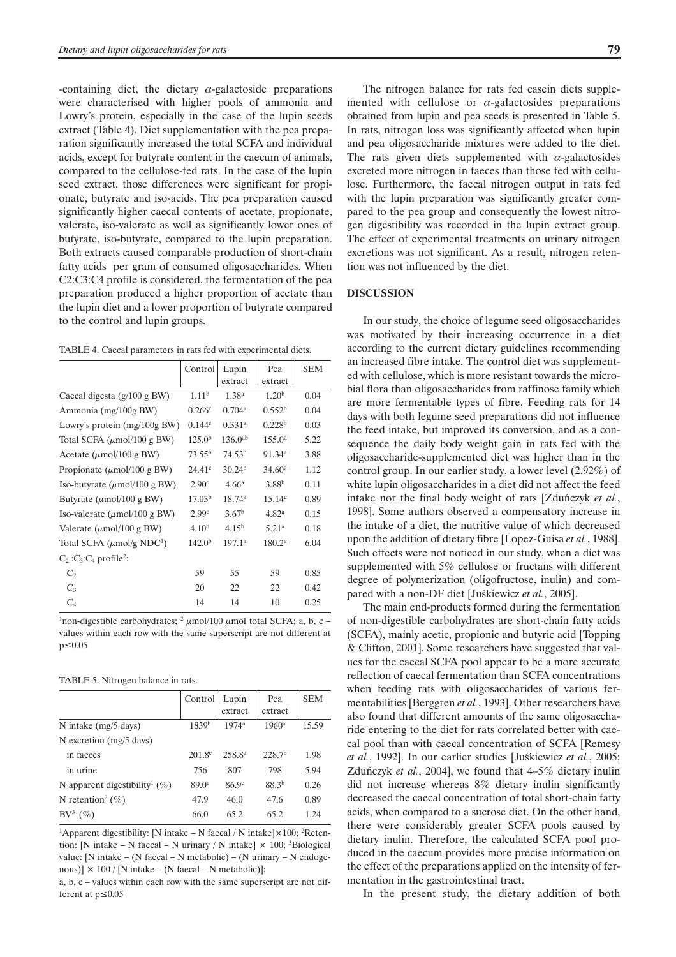-containing diet, the dietary  $\alpha$ -galactoside preparations were characterised with higher pools of ammonia and Lowry's protein, especially in the case of the lupin seeds extract (Table 4). Diet supplementation with the pea preparation significantly increased the total SCFA and individual acids, except for butyrate content in the caecum of animals, compared to the cellulose-fed rats. In the case of the lupin seed extract, those differences were significant for propionate, butyrate and iso-acids. The pea preparation caused significantly higher caecal contents of acetate, propionate, valerate, iso-valerate as well as significantly lower ones of butyrate, iso-butyrate, compared to the lupin preparation. Both extracts caused comparable production of short-chain fatty acids per gram of consumed oligosaccharides. When C2:C3:C4 profile is considered, the fermentation of the pea preparation produced a higher proportion of acetate than the lupin diet and a lower proportion of butyrate compared to the control and lupin groups.

TABLE 4. Caecal parameters in rats fed with experimental diets.

|                                                  | Control            | Lupin                | Pea                | <b>SEM</b> |
|--------------------------------------------------|--------------------|----------------------|--------------------|------------|
|                                                  |                    | extract              | extract            |            |
| Caecal digesta (g/100 g BW)                      | 1.11 <sup>b</sup>  | 1.38 <sup>a</sup>    | 1.20 <sup>b</sup>  | 0.04       |
| Ammonia (mg/100g BW)                             | $0.266^{\circ}$    | $0.704^{\rm a}$      | $0.552^{\rm b}$    | 0.04       |
| Lowry's protein (mg/100g BW)                     | 0.144c             | $0.331$ <sup>a</sup> | 0.228 <sup>b</sup> | 0.03       |
| Total SCFA $(\mu$ mol/100 g BW)                  | 125.0 <sup>b</sup> | $136.0^{ab}$         | $155.0^{\rm a}$    | 5.22       |
| Acetate ( $\mu$ mol/100 g BW)                    | $73.55^{\rm b}$    | 74.53 <sup>b</sup>   | 91.34 <sup>a</sup> | 3.88       |
| Propionate ( $\mu$ mol/100 g BW)                 | $24.41^{\circ}$    | 30.24 <sup>b</sup>   | 34.60 <sup>a</sup> | 1.12       |
| Iso-butyrate $(\mu \text{mol}/100 \text{ g BW})$ | 2.90 <sup>c</sup>  | 4.66 <sup>a</sup>    | 3.88 <sup>b</sup>  | 0.11       |
| Butyrate ( $\mu$ mol/100 g BW)                   | 17.03 <sup>b</sup> | $18.74^{\rm a}$      | 15.14 <sup>c</sup> | 0.89       |
| Iso-valerate ( $\mu$ mol/100 g BW)               | 2.99 <sup>c</sup>  | 3.67 <sup>b</sup>    | 4.82 <sup>a</sup>  | 0.15       |
| Valerate ( $\mu$ mol/100 g BW)                   | 4.10 <sup>b</sup>  | 4.15 <sup>b</sup>    | 5.21 <sup>a</sup>  | 0.18       |
| Total SCFA $(\mu \text{mol/g } NDC^1)$           | 142.0 <sup>b</sup> | 197.1a               | 180.2 <sup>a</sup> | 6.04       |
| $C_2$ : $C_3$ : $C_4$ profile <sup>2</sup> :     |                    |                      |                    |            |
| $C_{2}$                                          | 59                 | 55                   | 59                 | 0.85       |
| $C_3$                                            | 20                 | 22                   | 22                 | 0.42       |
| $C_4$                                            | 14                 | 14                   | 10                 | 0.25       |

<sup>1</sup>non-digestible carbohydrates;  $\frac{2}{3} \mu$ mol/100  $\mu$ mol total SCFA; a, b, c – values within each row with the same superscript are not different at  $p \le 0.05$ 

#### TABLE 5. Nitrogen balance in rats.

|                                           | Control            | Lupin              | Pea                | <b>SEM</b> |
|-------------------------------------------|--------------------|--------------------|--------------------|------------|
|                                           |                    | extract            | extract            |            |
| N intake $(mg/5 \text{ days})$            | 1839 <sup>b</sup>  | $1974^a$           | $1960^{\rm a}$     | 15.59      |
| N excretion $(mg/5 \text{ days})$         |                    |                    |                    |            |
| in faeces                                 | 201.8 <sup>c</sup> | 258.8 <sup>a</sup> | 228.7 <sup>b</sup> | 1.98       |
| in urine                                  | 756                | 807                | 798                | 5.94       |
| N apparent digestibility <sup>1</sup> (%) | 89.0 <sup>a</sup>  | 86.9 <sup>c</sup>  | $88.3^{b}$         | 0.26       |
| N retention <sup>2</sup> (%)              | 47.9               | 46.0               | 47.6               | 0.89       |
| $\rm BV^3$<br>(%)                         | 66.0               | 65.2               | 65.2               | 1.24       |

<sup>1</sup>Apparent digestibility: [N intake – N faecal / N intake] $\times$ 100; <sup>2</sup>Retention: [N intake – N faecal – N urinary / N intake]  $\times$  100; <sup>3</sup>Biological value: [N intake – (N faecal – N metabolic) – (N urinary – N endogenous)]  $\times$  100 / [N intake – (N faecal – N metabolic)];

a, b, c – values within each row with the same superscript are not different at  $p \leq 0.05$ 

The nitrogen balance for rats fed casein diets supplemented with cellulose or  $\alpha$ -galactosides preparations obtained from lupin and pea seeds is presented in Table 5. In rats, nitrogen loss was significantly affected when lupin and pea oligosaccharide mixtures were added to the diet. The rats given diets supplemented with  $\alpha$ -galactosides excreted more nitrogen in faeces than those fed with cellulose. Furthermore, the faecal nitrogen output in rats fed with the lupin preparation was significantly greater compared to the pea group and consequently the lowest nitrogen digestibility was recorded in the lupin extract group. The effect of experimental treatments on urinary nitrogen excretions was not significant. As a result, nitrogen retention was not influenced by the diet.

## **DISCUSSION**

In our study, the choice of legume seed oligosaccharides was motivated by their increasing occurrence in a diet according to the current dietary guidelines recommending an increased fibre intake. The control diet was supplemented with cellulose, which is more resistant towards the microbial flora than oligosaccharides from raffinose family which are more fermentable types of fibre. Feeding rats for 14 days with both legume seed preparations did not influence the feed intake, but improved its conversion, and as a consequence the daily body weight gain in rats fed with the oligosaccharide-supplemented diet was higher than in the control group. In our earlier study, a lower level (2.92%) of white lupin oligosaccharides in a diet did not affect the feed intake nor the final body weight of rats [Zduñczyk *et al.*, 1998]. Some authors observed a compensatory increase in the intake of a diet, the nutritive value of which decreased upon the addition of dietary fibre [Lopez-Guisa *et al.*, 1988]. Such effects were not noticed in our study, when a diet was supplemented with 5% cellulose or fructans with different degree of polymerization (oligofructose, inulin) and compared with a non-DF diet [Juśkiewicz et al., 2005].

The main end-products formed during the fermentation of non-digestible carbohydrates are short-chain fatty acids (SCFA), mainly acetic, propionic and butyric acid [Topping & Clifton, 2001]. Some researchers have suggested that values for the caecal SCFA pool appear to be a more accurate reflection of caecal fermentation than SCFA concentrations when feeding rats with oligosaccharides of various fermentabilities [Berggren *et al.*, 1993]. Other researchers have also found that different amounts of the same oligosaccharide entering to the diet for rats correlated better with caecal pool than with caecal concentration of SCFA [Remesy *et al.*, 1992]. In our earlier studies [Juśkiewicz *et al.*, 2005; Zduñczyk *et al.*, 2004], we found that 4–5% dietary inulin did not increase whereas 8% dietary inulin significantly decreased the caecal concentration of total short-chain fatty acids, when compared to a sucrose diet. On the other hand, there were considerably greater SCFA pools caused by dietary inulin. Therefore, the calculated SCFA pool produced in the caecum provides more precise information on the effect of the preparations applied on the intensity of fermentation in the gastrointestinal tract.

In the present study, the dietary addition of both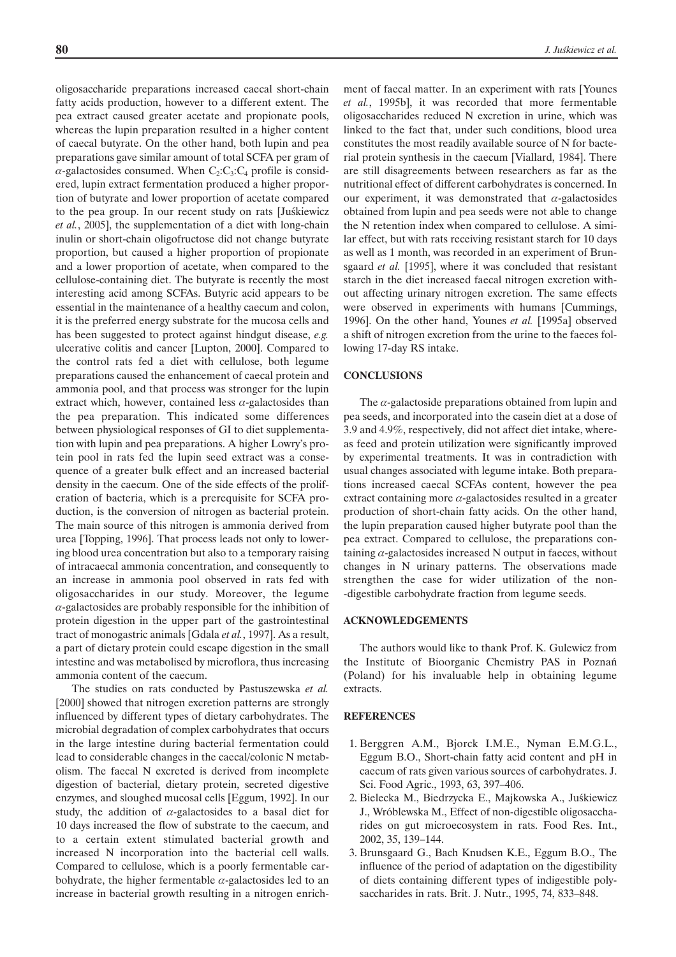oligosaccharide preparations increased caecal short-chain fatty acids production, however to a different extent. The pea extract caused greater acetate and propionate pools, whereas the lupin preparation resulted in a higher content of caecal butyrate. On the other hand, both lupin and pea preparations gave similar amount of total SCFA per gram of  $\alpha$ -galactosides consumed. When  $C_2:C_3:C_4$  profile is considered, lupin extract fermentation produced a higher proportion of butyrate and lower proportion of acetate compared to the pea group. In our recent study on rats [Juskiewicz] *et al.*, 2005], the supplementation of a diet with long-chain inulin or short-chain oligofructose did not change butyrate proportion, but caused a higher proportion of propionate and a lower proportion of acetate, when compared to the cellulose-containing diet. The butyrate is recently the most interesting acid among SCFAs. Butyric acid appears to be essential in the maintenance of a healthy caecum and colon, it is the preferred energy substrate for the mucosa cells and has been suggested to protect against hindgut disease, *e.g.* ulcerative colitis and cancer [Lupton, 2000]. Compared to the control rats fed a diet with cellulose, both legume preparations caused the enhancement of caecal protein and ammonia pool, and that process was stronger for the lupin extract which, however, contained less  $\alpha$ -galactosides than the pea preparation. This indicated some differences between physiological responses of GI to diet supplementation with lupin and pea preparations. A higher Lowry's protein pool in rats fed the lupin seed extract was a consequence of a greater bulk effect and an increased bacterial density in the caecum. One of the side effects of the proliferation of bacteria, which is a prerequisite for SCFA production, is the conversion of nitrogen as bacterial protein. The main source of this nitrogen is ammonia derived from urea [Topping, 1996]. That process leads not only to lowering blood urea concentration but also to a temporary raising of intracaecal ammonia concentration, and consequently to an increase in ammonia pool observed in rats fed with oligosaccharides in our study. Moreover, the legume  $\alpha$ -galactosides are probably responsible for the inhibition of protein digestion in the upper part of the gastrointestinal tract of monogastric animals [Gdala *et al.*, 1997]. As a result, a part of dietary protein could escape digestion in the small intestine and was metabolised by microflora, thus increasing ammonia content of the caecum.

The studies on rats conducted by Pastuszewska *et al.* [2000] showed that nitrogen excretion patterns are strongly influenced by different types of dietary carbohydrates. The microbial degradation of complex carbohydrates that occurs in the large intestine during bacterial fermentation could lead to considerable changes in the caecal/colonic N metabolism. The faecal N excreted is derived from incomplete digestion of bacterial, dietary protein, secreted digestive enzymes, and sloughed mucosal cells [Eggum, 1992]. In our study, the addition of  $\alpha$ -galactosides to a basal diet for 10 days increased the flow of substrate to the caecum, and to a certain extent stimulated bacterial growth and increased N incorporation into the bacterial cell walls. Compared to cellulose, which is a poorly fermentable carbohydrate, the higher fermentable  $\alpha$ -galactosides led to an increase in bacterial growth resulting in a nitrogen enrichment of faecal matter. In an experiment with rats [Younes *et al.*, 1995b], it was recorded that more fermentable oligosaccharides reduced N excretion in urine, which was linked to the fact that, under such conditions, blood urea constitutes the most readily available source of N for bacterial protein synthesis in the caecum [Viallard, 1984]. There are still disagreements between researchers as far as the nutritional effect of different carbohydrates is concerned. In our experiment, it was demonstrated that  $\alpha$ -galactosides obtained from lupin and pea seeds were not able to change the N retention index when compared to cellulose. A similar effect, but with rats receiving resistant starch for 10 days as well as 1 month, was recorded in an experiment of Brunsgaard *et al.* [1995], where it was concluded that resistant starch in the diet increased faecal nitrogen excretion without affecting urinary nitrogen excretion. The same effects were observed in experiments with humans [Cummings, 1996]. On the other hand, Younes *et al.* [1995a] observed a shift of nitrogen excretion from the urine to the faeces following 17-day RS intake.

#### **CONCLUSIONS**

The  $\alpha$ -galactoside preparations obtained from lupin and pea seeds, and incorporated into the casein diet at a dose of 3.9 and 4.9%, respectively, did not affect diet intake, whereas feed and protein utilization were significantly improved by experimental treatments. It was in contradiction with usual changes associated with legume intake. Both preparations increased caecal SCFAs content, however the pea extract containing more  $\alpha$ -galactosides resulted in a greater production of short-chain fatty acids. On the other hand, the lupin preparation caused higher butyrate pool than the pea extract. Compared to cellulose, the preparations containing  $\alpha$ -galactosides increased N output in faeces, without changes in N urinary patterns. The observations made strengthen the case for wider utilization of the non- -digestible carbohydrate fraction from legume seeds.

#### **ACKNOWLEDGEMENTS**

The authors would like to thank Prof. K. Gulewicz from the Institute of Bioorganic Chemistry PAS in Poznañ (Poland) for his invaluable help in obtaining legume extracts.

### **REFERENCES**

- 1. Berggren A.M., Bjorck I.M.E., Nyman E.M.G.L., Eggum B.O., Short-chain fatty acid content and pH in caecum of rats given various sources of carbohydrates. J. Sci. Food Agric., 1993, 63, 397–406.
- 2. Bielecka M., Biedrzycka E., Majkowska A., Juśkiewicz J., Wróblewska M., Effect of non-digestible oligosaccharides on gut microecosystem in rats. Food Res. Int., 2002, 35, 139–144.
- 3. Brunsgaard G., Bach Knudsen K.E., Eggum B.O., The influence of the period of adaptation on the digestibility of diets containing different types of indigestible polysaccharides in rats. Brit. J. Nutr., 1995, 74, 833–848.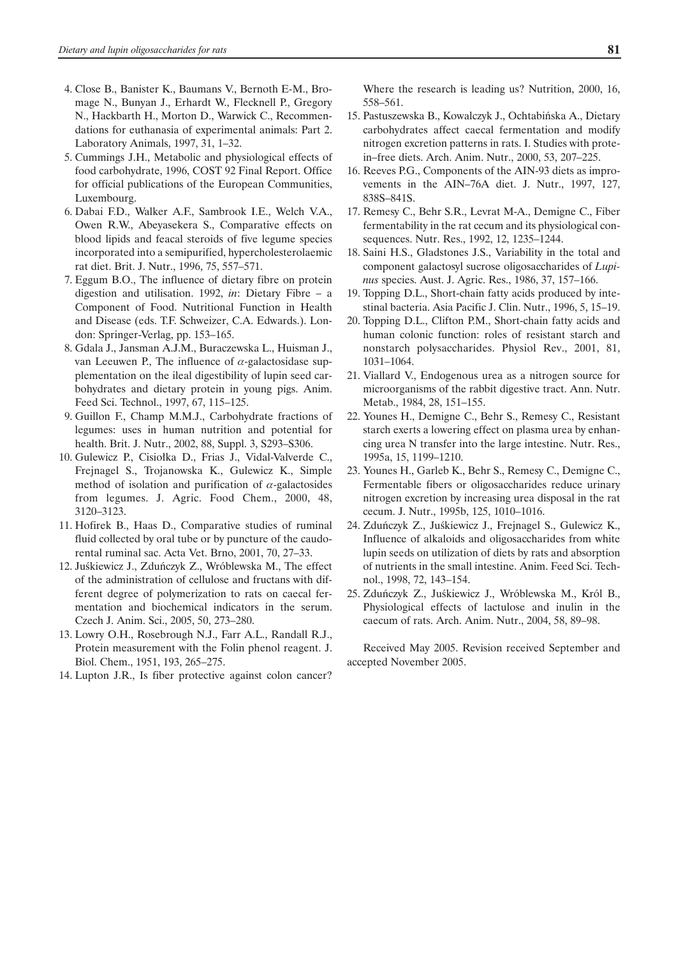- 4. Close B., Banister K., Baumans V., Bernoth E-M., Bromage N., Bunyan J., Erhardt W., Flecknell P., Gregory N., Hackbarth H., Morton D., Warwick C., Recommendations for euthanasia of experimental animals: Part 2. Laboratory Animals, 1997, 31, 1–32.
- 5. Cummings J.H., Metabolic and physiological effects of food carbohydrate, 1996, COST 92 Final Report. Office for official publications of the European Communities, Luxembourg.
- 6. Dabai F.D., Walker A.F., Sambrook I.E., Welch V.A., Owen R.W., Abeyasekera S., Comparative effects on blood lipids and feacal steroids of five legume species incorporated into a semipurified, hypercholesterolaemic rat diet. Brit. J. Nutr., 1996, 75, 557–571.
- 7. Eggum B.O., The influence of dietary fibre on protein digestion and utilisation. 1992, *in*: Dietary Fibre – a Component of Food. Nutritional Function in Health and Disease (eds. T.F. Schweizer, C.A. Edwards.). London: Springer-Verlag, pp. 153–165.
- 8. Gdala J., Jansman A.J.M., Buraczewska L., Huisman J., van Leeuwen P., The influence of  $\alpha$ -galactosidase supplementation on the ileal digestibility of lupin seed carbohydrates and dietary protein in young pigs. Anim. Feed Sci. Technol., 1997, 67, 115–125.
- 9. Guillon F., Champ M.M.J., Carbohydrate fractions of legumes: uses in human nutrition and potential for health. Brit. J. Nutr., 2002, 88, Suppl. 3, S293–S306.
- 10. Gulewicz P., Cisiołka D., Frias J., Vidal-Valverde C., Frejnagel S., Trojanowska K., Gulewicz K., Simple method of isolation and purification of  $\alpha$ -galactosides from legumes. J. Agric. Food Chem., 2000, 48, 3120–3123.
- 11. Hofirek B., Haas D., Comparative studies of ruminal fluid collected by oral tube or by puncture of the caudorental ruminal sac. Acta Vet. Brno, 2001, 70, 27–33.
- 12. Juśkiewicz J., Zduńczyk Z., Wróblewska M., The effect of the administration of cellulose and fructans with different degree of polymerization to rats on caecal fermentation and biochemical indicators in the serum. Czech J. Anim. Sci., 2005, 50, 273–280.
- 13. Lowry O.H., Rosebrough N.J., Farr A.L., Randall R.J., Protein measurement with the Folin phenol reagent. J. Biol. Chem., 1951, 193, 265–275.
- 14. Lupton J.R., Is fiber protective against colon cancer?

Where the research is leading us? Nutrition, 2000, 16, 558–561.

- 15. Pastuszewska B., Kowalczyk J., Ochtabiñska A., Dietary carbohydrates affect caecal fermentation and modify nitrogen excretion patterns in rats. I. Studies with protein–free diets. Arch. Anim. Nutr., 2000, 53, 207–225.
- 16. Reeves P.G., Components of the AIN-93 diets as improvements in the AIN–76A diet. J. Nutr., 1997, 127, 838S–841S.
- 17. Remesy C., Behr S.R., Levrat M-A., Demigne C., Fiber fermentability in the rat cecum and its physiological consequences. Nutr. Res., 1992, 12, 1235–1244.
- 18. Saini H.S., Gladstones J.S., Variability in the total and component galactosyl sucrose oligosaccharides of *Lupinus* species. Aust. J. Agric. Res., 1986, 37, 157–166.
- 19. Topping D.L., Short-chain fatty acids produced by intestinal bacteria. Asia Pacific J. Clin. Nutr., 1996, 5, 15–19.
- 20. Topping D.L., Clifton P.M., Short-chain fatty acids and human colonic function: roles of resistant starch and nonstarch polysaccharides. Physiol Rev., 2001, 81, 1031–1064.
- 21. Viallard V., Endogenous urea as a nitrogen source for microorganisms of the rabbit digestive tract. Ann. Nutr. Metab., 1984, 28, 151–155.
- 22. Younes H., Demigne C., Behr S., Remesy C., Resistant starch exerts a lowering effect on plasma urea by enhancing urea N transfer into the large intestine. Nutr. Res., 1995a, 15, 1199–1210.
- 23. Younes H., Garleb K., Behr S., Remesy C., Demigne C., Fermentable fibers or oligosaccharides reduce urinary nitrogen excretion by increasing urea disposal in the rat cecum. J. Nutr., 1995b, 125, 1010–1016.
- 24. Zduńczyk Z., Juśkiewicz J., Frejnagel S., Gulewicz K., Influence of alkaloids and oligosaccharides from white lupin seeds on utilization of diets by rats and absorption of nutrients in the small intestine. Anim. Feed Sci. Technol., 1998, 72, 143–154.
- 25. Zduńczyk Z., Juśkiewicz J., Wróblewska M., Król B., Physiological effects of lactulose and inulin in the caecum of rats. Arch. Anim. Nutr., 2004, 58, 89–98.

Received May 2005. Revision received September and accepted November 2005.